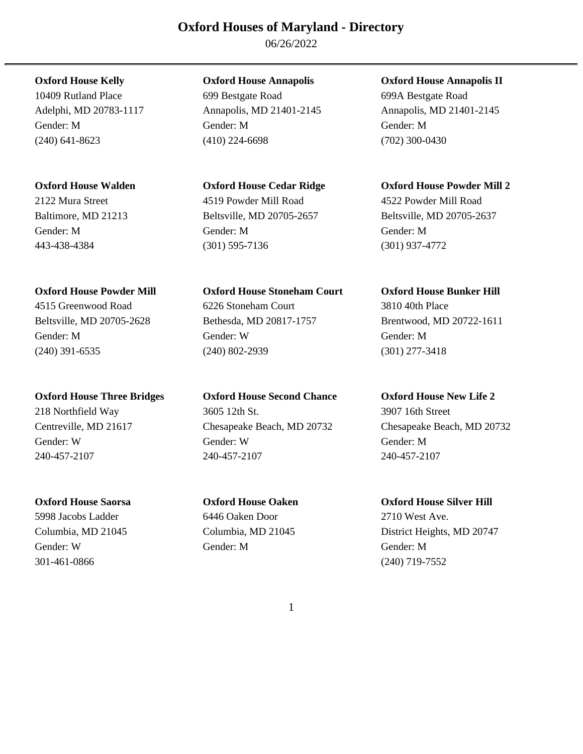06/26/2022

**Oxford House Three Bridges Oxford House Second Chance Oxford House New Life 2** 

301-461-0866 (240) 719-7552

10409 Rutland Place 699 Bestgate Road 699A Bestgate Road Gender: M Gender: M Gender: M (240) 641-8623 (410) 224-6698 (702) 300-0430

2122 Mura Street 4519 Powder Mill Road 4522 Powder Mill Road Baltimore, MD 21213 Beltsville, MD 20705-2657 Beltsville, MD 20705-2637 Gender: M Gender: M Gender: M 443-438-4384 (301) 595-7136 (301) 937-4772

**Oxford House Powder Mill Oxford House Stoneham Court Oxford House Bunker Hill**  4515 Greenwood Road 6226 Stoneham Court 3810 40th Place Beltsville, MD 20705-2628 Bethesda, MD 20817-1757 Brentwood, MD 20722-1611 Gender: M Gender: W Gender: M (240) 391-6535 (240) 802-2939 (301) 277-3418

218 Northfield Way 3605 12th St. 3907 16th Street Centreville, MD 21617 Chesapeake Beach, MD 20732 Chesapeake Beach, MD 20732 Gender: W Gender: W Gender: M 240-457-2107 240-457-2107 240-457-2107

5998 Jacobs Ladder 6446 Oaken Door 2710 West Ave. Gender: W Gender: M Gender: M

**Oxford House Kelly Oxford House Annapolis Oxford House Annapolis II** 

Adelphi, MD 20783-1117 Annapolis, MD 21401-2145 Annapolis, MD 21401-2145

**Oxford House Walden Oxford House Cedar Ridge Oxford House Powder Mill 2** 

**Oxford House Saorsa Oxford House Oaken Oxford House Silver Hill**  Columbia, MD 21045 Columbia, MD 21045 District Heights, MD 20747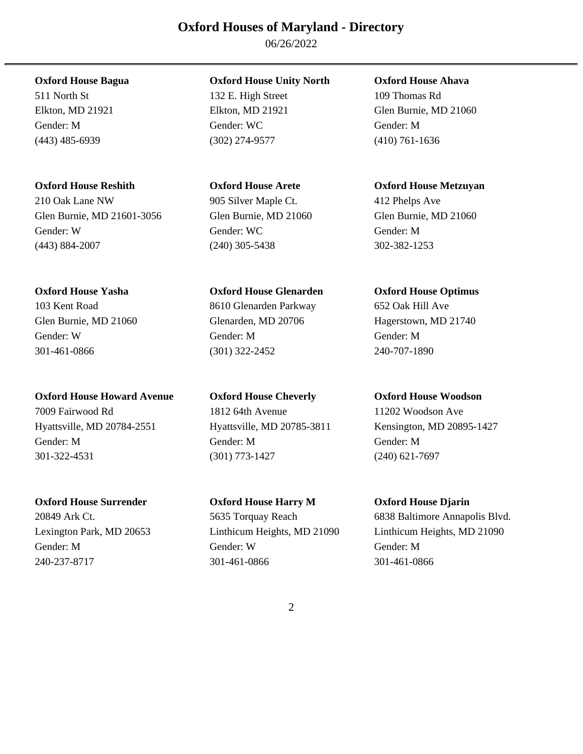06/26/2022

(443) 485-6939 (302) 274-9577 (410) 761-1636

210 Oak Lane NW 905 Silver Maple Ct. 412 Phelps Ave Glen Burnie, MD 21601-3056 Glen Burnie, MD 21060 Glen Burnie, MD 21060 Gender: W Gender: WC Gender: M (443) 884-2007 (240) 305-5438 302-382-1253

**Oxford House Howard Avenue Oxford House Cheverly Oxford House Woodson**  7009 Fairwood Rd 1812 64th Avenue 11202 Woodson Ave Hyattsville, MD 20784-2551 Hyattsville, MD 20785-3811 Kensington, MD 20895-1427 Gender: M Gender: M Gender: M 301-322-4531 (301) 773-1427 (240) 621-7697

511 North St 132 E. High Street 109 Thomas Rd Elkton, MD 21921 Elkton, MD 21921 Glen Burnie, MD 21060 Gender: M Gender: WC Gender: M

103 Kent Road 8610 Glenarden Parkway 652 Oak Hill Ave Glen Burnie, MD 21060 Glenarden, MD 20706 Hagerstown, MD 21740 Gender: W Gender: M Gender: M 301-461-0866 (301) 322-2452 240-707-1890

**Oxford House Surrender Oxford House Harry M Oxford House Djarin**  Gender: M Gender: W Gender: M 240-237-8717 301-461-0866 301-461-0866

**Oxford House Bagua Oxford House Unity North Oxford House Ahava** 

**Oxford House Reshith Oxford House Arete Oxford House Metzuyan** 

**Oxford House Yasha Oxford House Glenarden Oxford House Optimus** 

20849 Ark Ct. 5635 Torquay Reach 6838 Baltimore Annapolis Blvd. Lexington Park, MD 20653 Linthicum Heights, MD 21090 Linthicum Heights, MD 21090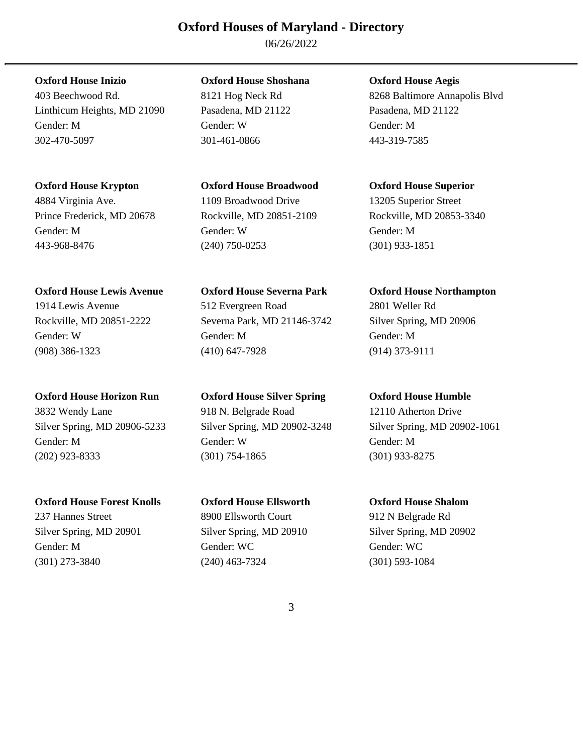06/26/2022

Linthicum Heights, MD 21090 Pasadena, MD 21122 Pasadena, MD 21122 Gender: M Gender: W Gender: M 302-470-5097 301-461-0866 443-319-7585

## **Oxford House Krypton Oxford House Broadwood Oxford House Superior**

4884 Virginia Ave. 1109 Broadwood Drive 13205 Superior Street Prince Frederick, MD 20678 Rockville, MD 20851-2109 Rockville, MD 20853-3340 Gender: M Gender: W Gender: M 443-968-8476 (240) 750-0253 (301) 933-1851

## **Oxford House Lewis Avenue Oxford House Severna Park Oxford House Northampton**

3832 Wendy Lane 918 N. Belgrade Road 12110 Atherton Drive Silver Spring, MD 20906-5233 Silver Spring, MD 20902-3248 Silver Spring, MD 20902-1061 Gender: M Gender: W Gender: M (202) 923-8333 (301) 754-1865 (301) 933-8275

### **Oxford House Forest Knolls Oxford House Ellsworth Oxford House Shalom**

## **Oxford House Inizio Oxford House Shoshana Oxford House Aegis**

1914 Lewis Avenue 512 Evergreen Road 2801 Weller Rd Rockville, MD 20851-2222 Severna Park, MD 21146-3742 Silver Spring, MD 20906 Gender: W Gender: M Gender: M (908) 386-1323 (410) 647-7928 (914) 373-9111

# **Oxford House Horizon Run Oxford House Silver Spring Oxford House Humble**

## 237 Hannes Street 8900 Ellsworth Court 912 N Belgrade Rd Silver Spring, MD 20901 Silver Spring, MD 20910 Silver Spring, MD 20902 Gender: M Gender: WC Gender: WC Gender: WC Gender: WC (301) 273-3840 (240) 463-7324 (301) 593-1084

403 Beechwood Rd. 8121 Hog Neck Rd 8268 Baltimore Annapolis Blvd